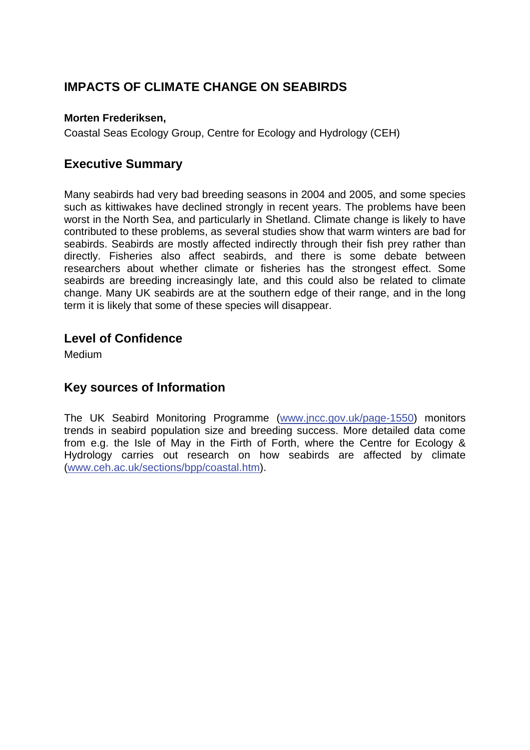# **IMPACTS OF CLIMATE CHANGE ON SEABIRDS**

#### **Morten Frederiksen,**

Coastal Seas Ecology Group, Centre for Ecology and Hydrology (CEH)

### **Executive Summary**

Many seabirds had very bad breeding seasons in 2004 and 2005, and some species such as kittiwakes have declined strongly in recent years. The problems have been worst in the North Sea, and particularly in Shetland. Climate change is likely to have contributed to these problems, as several studies show that warm winters are bad for seabirds. Seabirds are mostly affected indirectly through their fish prey rather than directly. Fisheries also affect seabirds, and there is some debate between researchers about whether climate or fisheries has the strongest effect. Some seabirds are breeding increasingly late, and this could also be related to climate change. Many UK seabirds are at the southern edge of their range, and in the long term it is likely that some of these species will disappear.

#### **Level of Confidence**

**Medium** 

#### **Key sources of Information**

The UK Seabird Monitoring Programme ([www.jncc.gov.uk/page-1550\)](http://www.jncc.gov.uk/page-1550) monitors trends in seabird population size and breeding success. More detailed data come from e.g. the Isle of May in the Firth of Forth, where the Centre for Ecology & Hydrology carries out research on how seabirds are affected by climate ([www.ceh.ac.uk/sections/bpp/coastal.htm](http://www.ceh.ac.uk/sections/bpp/coastal.htm)).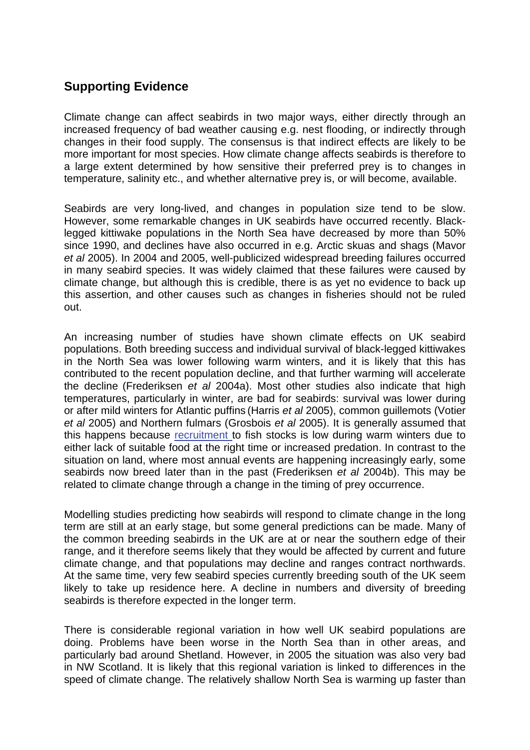## **Supporting Evidence**

Climate change can affect seabirds in two major ways, either directly through an increased frequency of bad weather causing e.g. nest flooding, or indirectly through changes in their food supply. The consensus is that indirect effects are likely to be more important for most species. How climate change affects seabirds is therefore to a large extent determined by how sensitive their preferred prey is to changes in temperature, salinity etc., and whether alternative prey is, or will become, available.

Seabirds are very long-lived, and changes in population size tend to be slow. However, some remarkable changes in UK seabirds have occurred recently. Blacklegged kittiwake populations in the North Sea have decreased by more than 50% since 1990, and declines have also occurred in e.g. Arctic skuas and shags (Mavor *et al* 2005). In 2004 and 2005, well-publicized widespread breeding failures occurred in many seabird species. It was widely claimed that these failures were caused by climate change, but although this is credible, there is as yet no evidence to back up this assertion, and other causes such as changes in fisheries should not be ruled out.

An increasing number of studies have shown climate effects on UK seabird populations. Both breeding success and individual survival of black-legged kittiwakes in the North Sea was lower following warm winters, and it is likely that this has contributed to the recent population decline, and that further warming will accelerate the decline (Frederiksen *et al* 2004a). Most other studies also indicate that high temperatures, particularly in winter, are bad for seabirds: survival was lower during or after mild winters for Atlantic puffins (Harris *et al* 2005), common guillemots (Votier *et al* 2005) and Northern fulmars (Grosbois *et al* 2005). It is generally assumed that this happens because [recruitment t](http://www.mccip.org.uk/arc/glossary.htm)o fish stocks is low during warm winters due to either lack of suitable food at the right time or increased predation. In contrast to the situation on land, where most annual events are happening increasingly early, some seabirds now breed later than in the past (Frederiksen *et al* 2004b). This may be related to climate change through a change in the timing of prey occurrence.

Modelling studies predicting how seabirds will respond to climate change in the long term are still at an early stage, but some general predictions can be made. Many of the common breeding seabirds in the UK are at or near the southern edge of their range, and it therefore seems likely that they would be affected by current and future climate change, and that populations may decline and ranges contract northwards. At the same time, very few seabird species currently breeding south of the UK seem likely to take up residence here. A decline in numbers and diversity of breeding seabirds is therefore expected in the longer term.

There is considerable regional variation in how well UK seabird populations are doing. Problems have been worse in the North Sea than in other areas, and particularly bad around Shetland. However, in 2005 the situation was also very bad in NW Scotland. It is likely that this regional variation is linked to differences in the speed of climate change. The relatively shallow North Sea is warming up faster than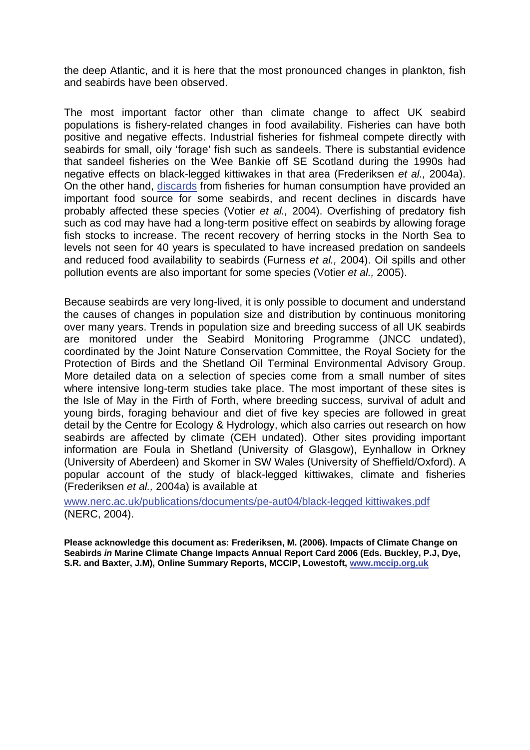the deep Atlantic, and it is here that the most pronounced changes in plankton, fish and seabirds have been observed.

The most important factor other than climate change to affect UK seabird populations is fishery-related changes in food availability. Fisheries can have both positive and negative effects. Industrial fisheries for fishmeal compete directly with seabirds for small, oily 'forage' fish such as sandeels. There is substantial evidence that sandeel fisheries on the Wee Bankie off SE Scotland during the 1990s had negative effects on black-legged kittiwakes in that area (Frederiksen *et al.,* 2004a). On the other hand, [discards f](http://www.mccip.org.uk/arc/glossary.htm)rom fisheries for human consumption have provided an important food source for some seabirds, and recent declines in discards have probably affected these species (Votier *et al.,* 2004). Overfishing of predatory fish such as cod may have had a long-term positive effect on seabirds by allowing forage fish stocks to increase. The recent recovery of herring stocks in the North Sea to levels not seen for 40 years is speculated to have increased predation on sandeels and reduced food availability to seabirds (Furness *et al.,* 2004). Oil spills and other pollution events are also important for some species (Votier *et al.,* 2005).

Because seabirds are very long-lived, it is only possible to document and understand the causes of changes in population size and distribution by continuous monitoring over many years. Trends in population size and breeding success of all UK seabirds are monitored under the Seabird Monitoring Programme (JNCC undated), coordinated by the Joint Nature Conservation Committee, the Royal Society for the Protection of Birds and the Shetland Oil Terminal Environmental Advisory Group. More detailed data on a selection of species come from a small number of sites where intensive long-term studies take place. The most important of these sites is the Isle of May in the Firth of Forth, where breeding success, survival of adult and young birds, foraging behaviour and diet of five key species are followed in great detail by the Centre for Ecology & Hydrology, which also carries out research on how seabirds are affected by climate (CEH undated). Other sites providing important information are Foula in Shetland (University of Glasgow), Eynhallow in Orkney (University of Aberdeen) and Skomer in SW Wales (University of Sheffield/Oxford). A popular account of the study of black-legged kittiwakes, climate and fisheries (Frederiksen *et al.,* 2004a) is available at

[www.nerc.ac.uk/publications/documents/pe-aut04/black-legged kittiwakes.pdf](http://www.nerc.ac.uk/publications/documents/pe-aut04/kittiwakes.pdf) (NERC, 2004).

**Please acknowledge this document as: Frederiksen, M. (2006). Impacts of Climate Change on Seabirds** *in* **Marine Climate Change Impacts Annual Report Card 2006 (Eds. Buckley, P.J, Dye, S.R. and Baxter, J.M), Online Summary Reports, MCCIP, Lowestoft, [www.mccip.org.uk](http://www.mccip.org.uk/)**